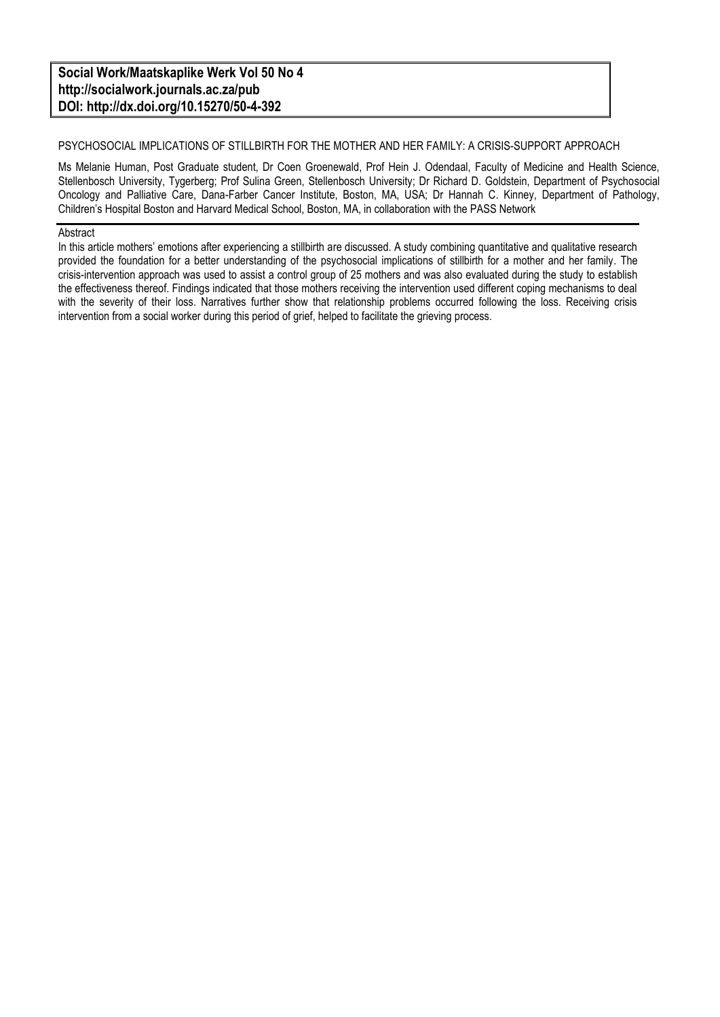#### **Social Work/Maatskaplike Werk Vol 50 No 4 http://socialwork.journals.ac.za/pub DOI: http://dx.doi.org/10.15270/50-4-392**

#### PSYCHOSOCIAL IMPLICATIONS OF STILLBIRTH FOR THE MOTHER AND HER FAMILY: A CRISIS-SUPPORT APPROACH

Ms Melanie Human, Post Graduate student, Dr Coen Groenewald, Prof Hein J. Odendaal, Faculty of Medicine and Health Science, Stellenbosch University, Tygerberg; Prof Sulina Green, Stellenbosch University; Dr Richard D. Goldstein, Department of Psychosocial Oncology and Palliative Care, Dana-Farber Cancer Institute, Boston, MA, USA; Dr Hannah C. Kinney, Department of Pathology, Children's Hospital Boston and Harvard Medical School, Boston, MA, in collaboration with the PASS Network

#### Abstract

In this article mothers' emotions after experiencing a stillbirth are discussed. A study combining quantitative and qualitative research provided the foundation for a better understanding of the psychosocial implications of stillbirth for a mother and her family. The crisis-intervention approach was used to assist a control group of 25 mothers and was also evaluated during the study to establish the effectiveness thereof. Findings indicated that those mothers receiving the intervention used different coping mechanisms to deal with the severity of their loss. Narratives further show that relationship problems occurred following the loss. Receiving crisis intervention from a social worker during this period of grief, helped to facilitate the grieving process.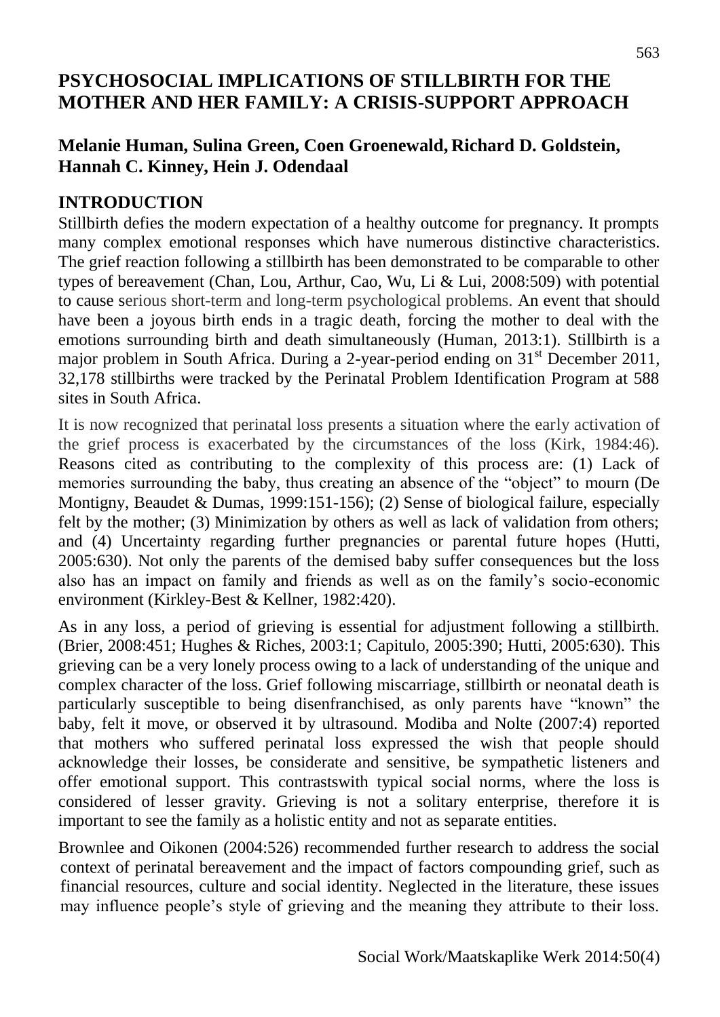## **PSYCHOSOCIAL IMPLICATIONS OF STILLBIRTH FOR THE MOTHER AND HER FAMILY: A CRISIS-SUPPORT APPROACH**

## **Melanie Human, Sulina Green, Coen Groenewald, Richard D. Goldstein, Hannah C. Kinney, Hein J. Odendaal**

#### **INTRODUCTION**

Stillbirth defies the modern expectation of a healthy outcome for pregnancy. It prompts many complex emotional responses which have numerous distinctive characteristics. The grief reaction following a stillbirth has been demonstrated to be comparable to other types of bereavement (Chan, Lou, Arthur, Cao, Wu, Li & Lui, 2008:509) with potential to cause serious short-term and long-term psychological problems. An event that should have been a joyous birth ends in a tragic death, forcing the mother to deal with the emotions surrounding birth and death simultaneously (Human, 2013:1). Stillbirth is a major problem in South Africa. During a 2-year-period ending on 31<sup>st</sup> December 2011, 32,178 stillbirths were tracked by the Perinatal Problem Identification Program at 588 sites in South Africa.

It is now recognized that perinatal loss presents a situation where the early activation of the grief process is exacerbated by the circumstances of the loss (Kirk, 1984:46). Reasons cited as contributing to the complexity of this process are: (1) Lack of memories surrounding the baby, thus creating an absence of the "object" to mourn (De Montigny, Beaudet & Dumas, 1999:151-156); (2) Sense of biological failure, especially felt by the mother; (3) Minimization by others as well as lack of validation from others; and (4) Uncertainty regarding further pregnancies or parental future hopes (Hutti, 2005:630). Not only the parents of the demised baby suffer consequences but the loss also has an impact on family and friends as well as on the family's socio-economic environment (Kirkley-Best & Kellner, 1982:420).

As in any loss, a period of grieving is essential for adjustment following a stillbirth. (Brier, 2008:451; Hughes & Riches, 2003:1; Capitulo, 2005:390; Hutti, 2005:630). This grieving can be a very lonely process owing to a lack of understanding of the unique and complex character of the loss. Grief following miscarriage, stillbirth or neonatal death is particularly susceptible to being disenfranchised, as only parents have "known" the baby, felt it move, or observed it by ultrasound. Modiba and Nolte (2007:4) reported that mothers who suffered perinatal loss expressed the wish that people should acknowledge their losses, be considerate and sensitive, be sympathetic listeners and offer emotional support. This contrastswith typical social norms, where the loss is considered of lesser gravity. Grieving is not a solitary enterprise, therefore it is important to see the family as a holistic entity and not as separate entities.

Brownlee and Oikonen (2004:526) recommended further research to address the social context of perinatal bereavement and the impact of factors compounding grief, such as financial resources, culture and social identity. Neglected in the literature, these issues may influence people's style of grieving and the meaning they attribute to their loss.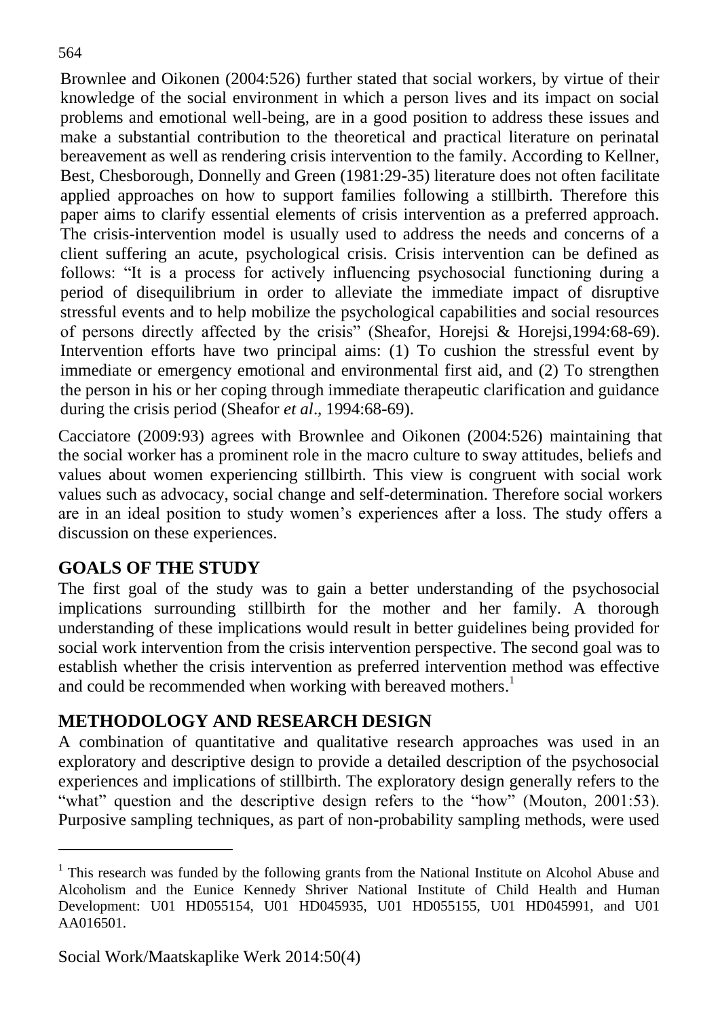Brownlee and Oikonen (2004:526) further stated that social workers, by virtue of their knowledge of the social environment in which a person lives and its impact on social problems and emotional well-being, are in a good position to address these issues and make a substantial contribution to the theoretical and practical literature on perinatal bereavement as well as rendering crisis intervention to the family. According to Kellner, Best, Chesborough, Donnelly and Green (1981:29-35) literature does not often facilitate applied approaches on how to support families following a stillbirth. Therefore this paper aims to clarify essential elements of crisis intervention as a preferred approach. The crisis-intervention model is usually used to address the needs and concerns of a client suffering an acute, psychological crisis. Crisis intervention can be defined as follows: "It is a process for actively influencing psychosocial functioning during a period of disequilibrium in order to alleviate the immediate impact of disruptive stressful events and to help mobilize the psychological capabilities and social resources of persons directly affected by the crisis" (Sheafor, Horejsi & Horejsi*,*1994:68-69). Intervention efforts have two principal aims: (1) To cushion the stressful event by immediate or emergency emotional and environmental first aid, and (2) To strengthen the person in his or her coping through immediate therapeutic clarification and guidance during the crisis period (Sheafor *et al*., 1994:68-69).

Cacciatore (2009:93) agrees with Brownlee and Oikonen (2004:526) maintaining that the social worker has a prominent role in the macro culture to sway attitudes, beliefs and values about women experiencing stillbirth. This view is congruent with social work values such as advocacy, social change and self-determination. Therefore social workers are in an ideal position to study women's experiences after a loss. The study offers a discussion on these experiences.

## **GOALS OF THE STUDY**

 $\overline{a}$ 

The first goal of the study was to gain a better understanding of the psychosocial implications surrounding stillbirth for the mother and her family. A thorough understanding of these implications would result in better guidelines being provided for social work intervention from the crisis intervention perspective. The second goal was to establish whether the crisis intervention as preferred intervention method was effective and could be recommended when working with bereaved mothers.<sup>1</sup>

## **METHODOLOGY AND RESEARCH DESIGN**

A combination of quantitative and qualitative research approaches was used in an exploratory and descriptive design to provide a detailed description of the psychosocial experiences and implications of stillbirth. The exploratory design generally refers to the "what" question and the descriptive design refers to the "how" (Mouton, 2001:53). Purposive sampling techniques, as part of non-probability sampling methods, were used

<sup>&</sup>lt;sup>1</sup> This research was funded by the following grants from the National Institute on Alcohol Abuse and Alcoholism and the Eunice Kennedy Shriver National Institute of Child Health and Human Development: U01 HD055154, U01 HD045935, U01 HD055155, U01 HD045991, and U01 AA016501.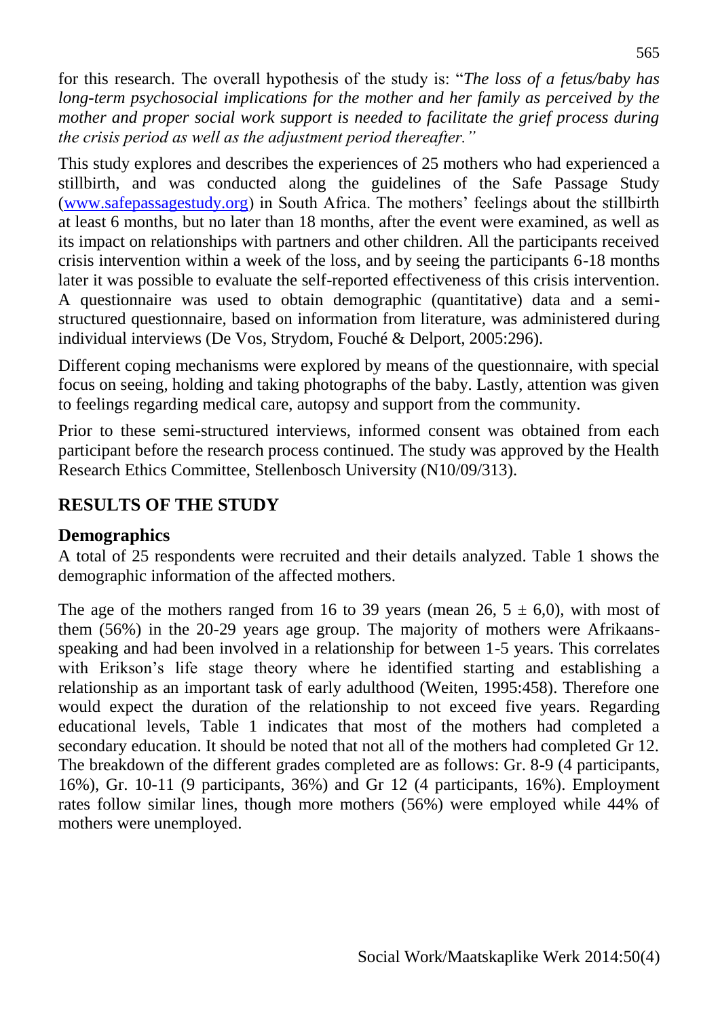for this research. The overall hypothesis of the study is: "*The loss of a fetus/baby has long-term psychosocial implications for the mother and her family as perceived by the mother and proper social work support is needed to facilitate the grief process during the crisis period as well as the adjustment period thereafter."*

This study explores and describes the experiences of 25 mothers who had experienced a stillbirth, and was conducted along the guidelines of the Safe Passage Study [\(www.safepassagestudy.org\)](http://www.safepassagestudy.org/) in South Africa. The mothers' feelings about the stillbirth at least 6 months, but no later than 18 months, after the event were examined, as well as its impact on relationships with partners and other children. All the participants received crisis intervention within a week of the loss, and by seeing the participants 6-18 months later it was possible to evaluate the self-reported effectiveness of this crisis intervention. A questionnaire was used to obtain demographic (quantitative) data and a semistructured questionnaire, based on information from literature, was administered during individual interviews (De Vos, Strydom, Fouché & Delport, 2005:296).

Different coping mechanisms were explored by means of the questionnaire, with special focus on seeing, holding and taking photographs of the baby. Lastly, attention was given to feelings regarding medical care, autopsy and support from the community.

Prior to these semi-structured interviews, informed consent was obtained from each participant before the research process continued. The study was approved by the Health Research Ethics Committee, Stellenbosch University (N10/09/313).

## **RESULTS OF THE STUDY**

## **Demographics**

A total of 25 respondents were recruited and their details analyzed. Table 1 shows the demographic information of the affected mothers.

The age of the mothers ranged from 16 to 39 years (mean 26,  $5 \pm 6.0$ ), with most of them (56%) in the 20-29 years age group. The majority of mothers were Afrikaansspeaking and had been involved in a relationship for between 1-5 years. This correlates with Erikson's life stage theory where he identified starting and establishing a relationship as an important task of early adulthood (Weiten, 1995:458). Therefore one would expect the duration of the relationship to not exceed five years. Regarding educational levels, Table 1 indicates that most of the mothers had completed a secondary education. It should be noted that not all of the mothers had completed Gr 12. The breakdown of the different grades completed are as follows: Gr. 8-9 (4 participants, 16%), Gr. 10-11 (9 participants, 36%) and Gr 12 (4 participants, 16%). Employment rates follow similar lines, though more mothers (56%) were employed while 44% of mothers were unemployed.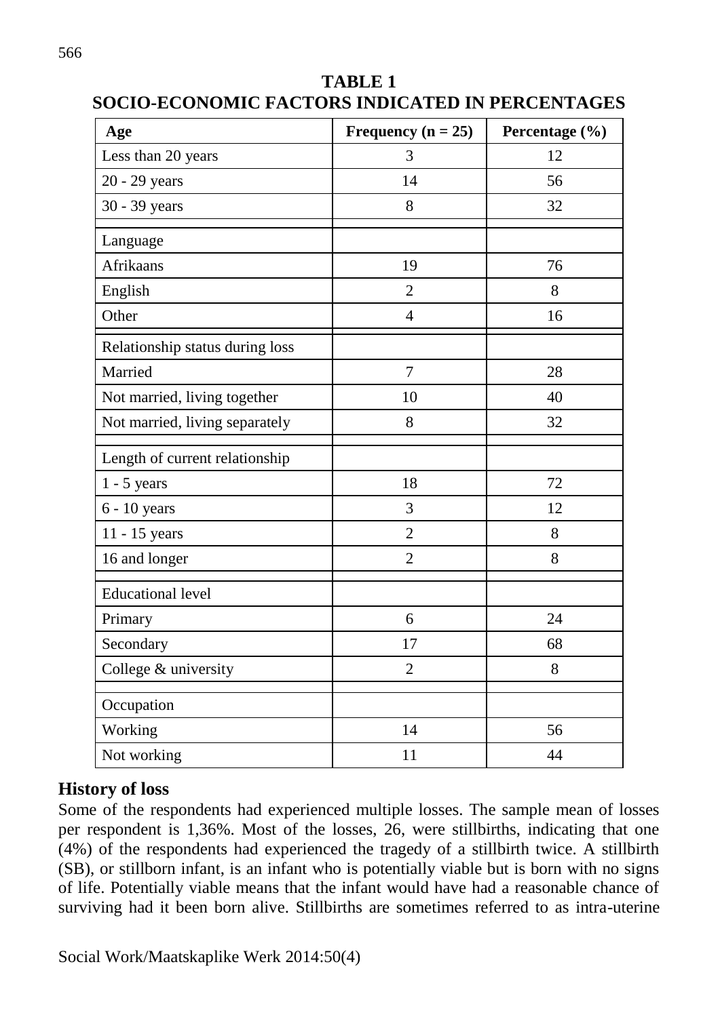| Age                             | Frequency $(n = 25)$ | Percentage (%) |
|---------------------------------|----------------------|----------------|
| Less than 20 years              | 3                    | 12             |
| 20 - 29 years                   | 14                   | 56             |
| 30 - 39 years                   | 8                    | 32             |
| Language                        |                      |                |
| Afrikaans                       | 19                   | 76             |
| English                         | $\overline{2}$       | 8              |
| Other                           | $\overline{4}$       | 16             |
| Relationship status during loss |                      |                |
| Married                         | $\overline{7}$       | 28             |
| Not married, living together    | 10                   | 40             |
| Not married, living separately  | 8                    | 32             |
| Length of current relationship  |                      |                |
| $1 - 5$ years                   | 18                   | 72             |
| $6 - 10$ years                  | 3                    | 12             |
| 11 - 15 years                   | $\overline{2}$       | 8              |
| 16 and longer                   | $\overline{2}$       | 8              |
| <b>Educational level</b>        |                      |                |
| Primary                         | 6                    | 24             |
| Secondary                       | 17                   | 68             |
| College & university            | $\overline{2}$       | 8              |
| Occupation                      |                      |                |
| Working                         | 14                   | 56             |
| Not working                     | 11                   | 44             |

## **TABLE 1 SOCIO-ECONOMIC FACTORS INDICATED IN PERCENTAGES**

## **History of loss**

Some of the respondents had experienced multiple losses. The sample mean of losses per respondent is 1,36%. Most of the losses, 26, were stillbirths, indicating that one (4%) of the respondents had experienced the tragedy of a stillbirth twice. A stillbirth (SB), or stillborn infant, is an infant who is potentially viable but is born with no signs of life. Potentially viable means that the infant would have had a reasonable chance of surviving had it been born alive. Stillbirths are sometimes referred to as intra-uterine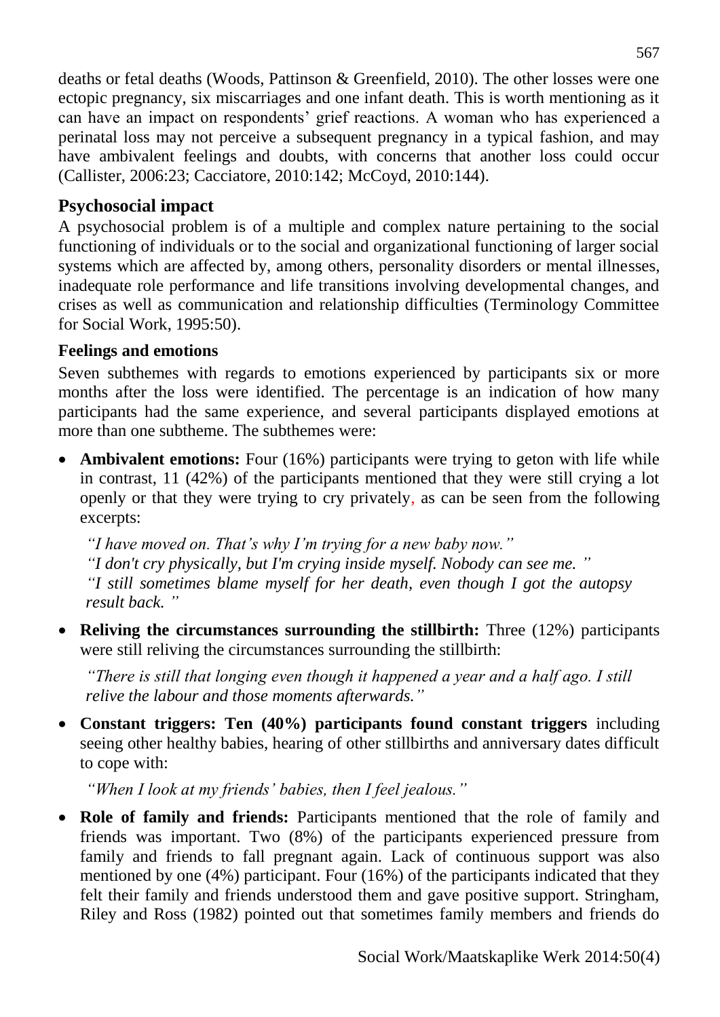deaths or fetal deaths (Woods, Pattinson & Greenfield, 2010). The other losses were one ectopic pregnancy, six miscarriages and one infant death. This is worth mentioning as it can have an impact on respondents' grief reactions. A woman who has experienced a perinatal loss may not perceive a subsequent pregnancy in a typical fashion, and may have ambivalent feelings and doubts, with concerns that another loss could occur (Callister, 2006:23; Cacciatore, 2010:142; McCoyd, 2010:144).

## **Psychosocial impact**

A psychosocial problem is of a multiple and complex nature pertaining to the social functioning of individuals or to the social and organizational functioning of larger social systems which are affected by, among others, personality disorders or mental illnesses, inadequate role performance and life transitions involving developmental changes, and crises as well as communication and relationship difficulties (Terminology Committee for Social Work, 1995:50).

## **Feelings and emotions**

Seven subthemes with regards to emotions experienced by participants six or more months after the loss were identified. The percentage is an indication of how many participants had the same experience, and several participants displayed emotions at more than one subtheme. The subthemes were:

• **Ambivalent emotions:** Four (16%) participants were trying to geton with life while in contrast, 11 (42%) of the participants mentioned that they were still crying a lot openly or that they were trying to cry privately, as can be seen from the following excerpts:

*"I have moved on. That's why I'm trying for a new baby now." "I don't cry physically, but I'm crying inside myself. Nobody can see me. " "I still sometimes blame myself for her death, even though I got the autopsy result back. "*

 **Reliving the circumstances surrounding the stillbirth:** Three (12%) participants were still reliving the circumstances surrounding the stillbirth:

*"There is still that longing even though it happened a year and a half ago. I still relive the labour and those moments afterwards."*

 **Constant triggers: Ten (40%) participants found constant triggers** including seeing other healthy babies, hearing of other stillbirths and anniversary dates difficult to cope with:

*"When I look at my friends' babies, then I feel jealous."*

 **Role of family and friends:** Participants mentioned that the role of family and friends was important. Two (8%) of the participants experienced pressure from family and friends to fall pregnant again. Lack of continuous support was also mentioned by one (4%) participant. Four (16%) of the participants indicated that they felt their family and friends understood them and gave positive support. Stringham, Riley and Ross (1982) pointed out that sometimes family members and friends do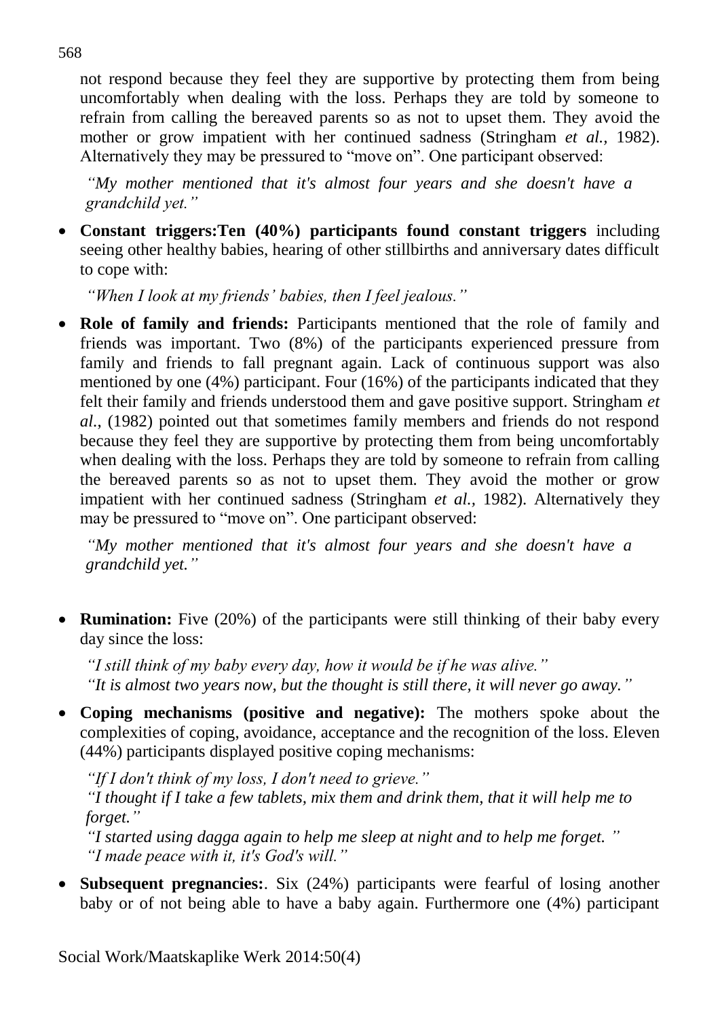not respond because they feel they are supportive by protecting them from being uncomfortably when dealing with the loss. Perhaps they are told by someone to refrain from calling the bereaved parents so as not to upset them. They avoid the mother or grow impatient with her continued sadness (Stringham *et al.,* 1982). Alternatively they may be pressured to "move on". One participant observed:

*"My mother mentioned that it's almost four years and she doesn't have a grandchild yet."*

 **Constant triggers:Ten (40%) participants found constant triggers** including seeing other healthy babies, hearing of other stillbirths and anniversary dates difficult to cope with:

*"When I look at my friends' babies, then I feel jealous."*

 **Role of family and friends:** Participants mentioned that the role of family and friends was important. Two (8%) of the participants experienced pressure from family and friends to fall pregnant again. Lack of continuous support was also mentioned by one (4%) participant. Four (16%) of the participants indicated that they felt their family and friends understood them and gave positive support. Stringham *et al.*, (1982) pointed out that sometimes family members and friends do not respond because they feel they are supportive by protecting them from being uncomfortably when dealing with the loss. Perhaps they are told by someone to refrain from calling the bereaved parents so as not to upset them. They avoid the mother or grow impatient with her continued sadness (Stringham *et al.,* 1982). Alternatively they may be pressured to "move on". One participant observed:

*"My mother mentioned that it's almost four years and she doesn't have a grandchild yet."*

 **Rumination:** Five (20%) of the participants were still thinking of their baby every day since the loss:

*"I still think of my baby every day, how it would be if he was alive." "It is almost two years now, but the thought is still there, it will never go away."*

 **Coping mechanisms (positive and negative):** The mothers spoke about the complexities of coping, avoidance, acceptance and the recognition of the loss. Eleven (44%) participants displayed positive coping mechanisms:

*"If I don't think of my loss, I don't need to grieve."*

*"I thought if I take a few tablets, mix them and drink them, that it will help me to forget."*

*"I started using dagga again to help me sleep at night and to help me forget. " "I made peace with it, it's God's will."*

 **Subsequent pregnancies:**. Six (24%) participants were fearful of losing another baby or of not being able to have a baby again. Furthermore one (4%) participant

568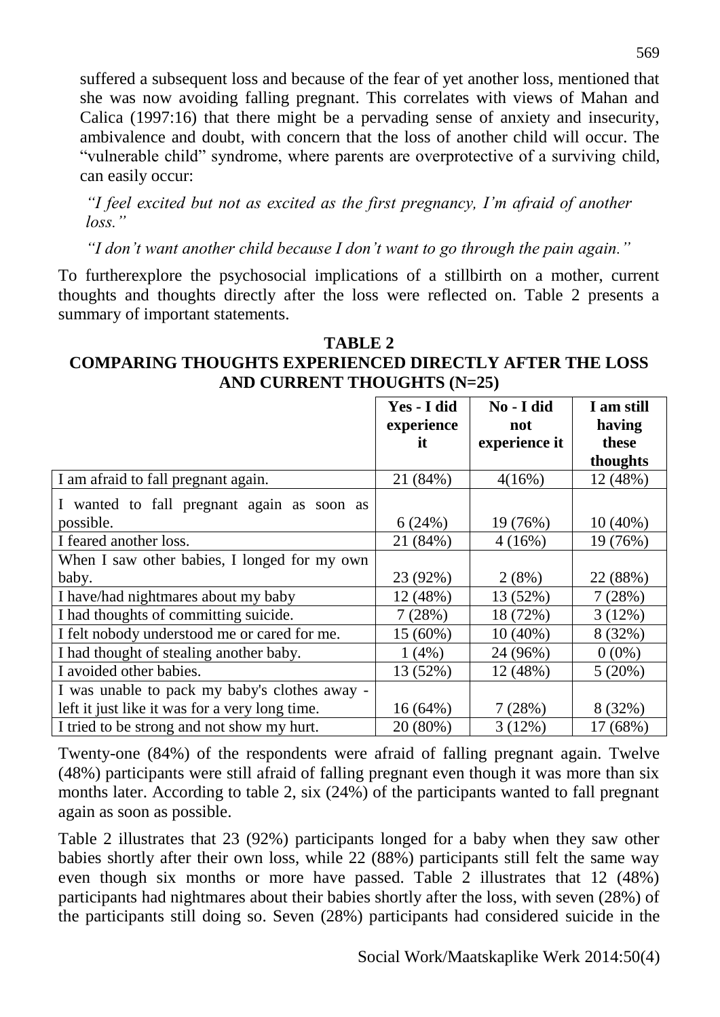suffered a subsequent loss and because of the fear of yet another loss, mentioned that she was now avoiding falling pregnant. This correlates with views of Mahan and Calica (1997:16) that there might be a pervading sense of anxiety and insecurity, ambivalence and doubt, with concern that the loss of another child will occur. The "vulnerable child" syndrome, where parents are overprotective of a surviving child, can easily occur:

*"I feel excited but not as excited as the first pregnancy, I'm afraid of another loss."*

*"I don't want another child because I don't want to go through the pain again."*

To furtherexplore the psychosocial implications of a stillbirth on a mother, current thoughts and thoughts directly after the loss were reflected on. Table 2 presents a summary of important statements.

#### **TABLE 2 COMPARING THOUGHTS EXPERIENCED DIRECTLY AFTER THE LOSS AND CURRENT THOUGHTS (N=25)**

|                                                | Yes - I did<br>experience<br>it | No-I did<br>not<br>experience it | I am still<br>having<br>these |
|------------------------------------------------|---------------------------------|----------------------------------|-------------------------------|
|                                                |                                 |                                  | thoughts                      |
| I am afraid to fall pregnant again.            | 21 (84%)                        | 4(16%)                           | 12 (48%)                      |
| I wanted to fall pregnant again as soon as     |                                 |                                  |                               |
| possible.                                      | 6(24%)                          | 19 (76%)                         | $10(40\%)$                    |
| I feared another loss.                         | 21 (84%)                        | 4(16%)                           | 19 (76%)                      |
| When I saw other babies, I longed for my own   |                                 |                                  |                               |
| baby.                                          | 23 (92%)                        | 2(8%)                            | 22 (88%)                      |
| I have/had nightmares about my baby            | 12 (48%)                        | 13 (52%)                         | 7(28%)                        |
| I had thoughts of committing suicide.          | 7(28%)                          | 18 (72%)                         | 3(12%)                        |
| I felt nobody understood me or cared for me.   | 15 (60%)                        | $10(40\%)$                       | 8 (32%)                       |
| I had thought of stealing another baby.        | 1(4%)                           | 24 (96%)                         | $0(0\%)$                      |
| I avoided other babies.                        | 13 (52%)                        | 12 (48%)                         | 5(20%)                        |
| I was unable to pack my baby's clothes away -  |                                 |                                  |                               |
| left it just like it was for a very long time. | $16(64\%)$                      | 7(28%)                           | 8 (32%)                       |
| I tried to be strong and not show my hurt.     | 20 (80%)                        | 3(12%)                           | 17 (68%)                      |

Twenty-one (84%) of the respondents were afraid of falling pregnant again. Twelve (48%) participants were still afraid of falling pregnant even though it was more than six months later. According to table 2, six (24%) of the participants wanted to fall pregnant again as soon as possible.

Table 2 illustrates that 23 (92%) participants longed for a baby when they saw other babies shortly after their own loss, while 22 (88%) participants still felt the same way even though six months or more have passed. Table 2 illustrates that 12 (48%) participants had nightmares about their babies shortly after the loss, with seven (28%) of the participants still doing so. Seven (28%) participants had considered suicide in the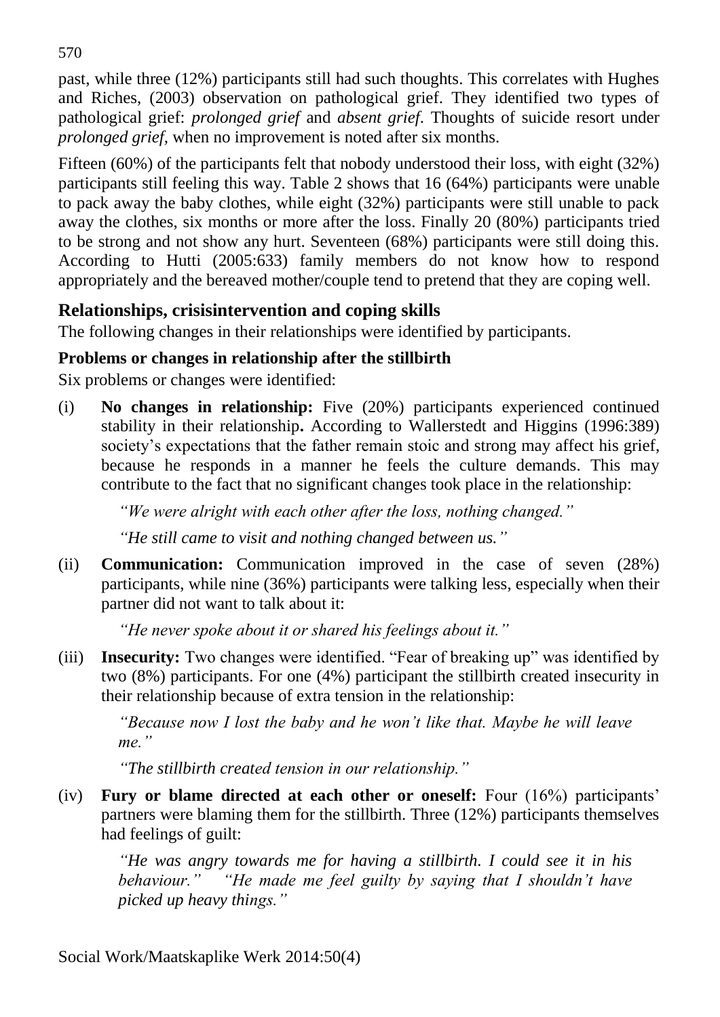past, while three (12%) participants still had such thoughts. This correlates with Hughes and Riches, (2003) observation on pathological grief. They identified two types of pathological grief: *prolonged grief* and *absent grief*. Thoughts of suicide resort under *prolonged grief,* when no improvement is noted after six months.

Fifteen (60%) of the participants felt that nobody understood their loss, with eight (32%) participants still feeling this way. Table 2 shows that 16 (64%) participants were unable to pack away the baby clothes, while eight (32%) participants were still unable to pack away the clothes, six months or more after the loss. Finally 20 (80%) participants tried to be strong and not show any hurt. Seventeen (68%) participants were still doing this. According to Hutti (2005:633) family members do not know how to respond appropriately and the bereaved mother/couple tend to pretend that they are coping well.

## **Relationships, crisisintervention and coping skills**

The following changes in their relationships were identified by participants.

## **Problems or changes in relationship after the stillbirth**

Six problems or changes were identified:

(i) **No changes in relationship:** Five (20%) participants experienced continued stability in their relationship**.** According to Wallerstedt and Higgins (1996:389) society's expectations that the father remain stoic and strong may affect his grief, because he responds in a manner he feels the culture demands. This may contribute to the fact that no significant changes took place in the relationship:

*"We were alright with each other after the loss, nothing changed."*

*"He still came to visit and nothing changed between us."*

(ii) **Communication:** Communication improved in the case of seven (28%) participants, while nine (36%) participants were talking less, especially when their partner did not want to talk about it:

*"He never spoke about it or shared his feelings about it."*

(iii) **Insecurity:** Two changes were identified. "Fear of breaking up" was identified by two (8%) participants. For one (4%) participant the stillbirth created insecurity in their relationship because of extra tension in the relationship:

*"Because now I lost the baby and he won't like that. Maybe he will leave me."* 

*"The stillbirth created tension in our relationship."*

(iv) **Fury or blame directed at each other or oneself:** Four (16%) participants' partners were blaming them for the stillbirth. Three (12%) participants themselves had feelings of guilt:

*"He was angry towards me for having a stillbirth. I could see it in his behaviour." "He made me feel guilty by saying that I shouldn't have picked up heavy things."*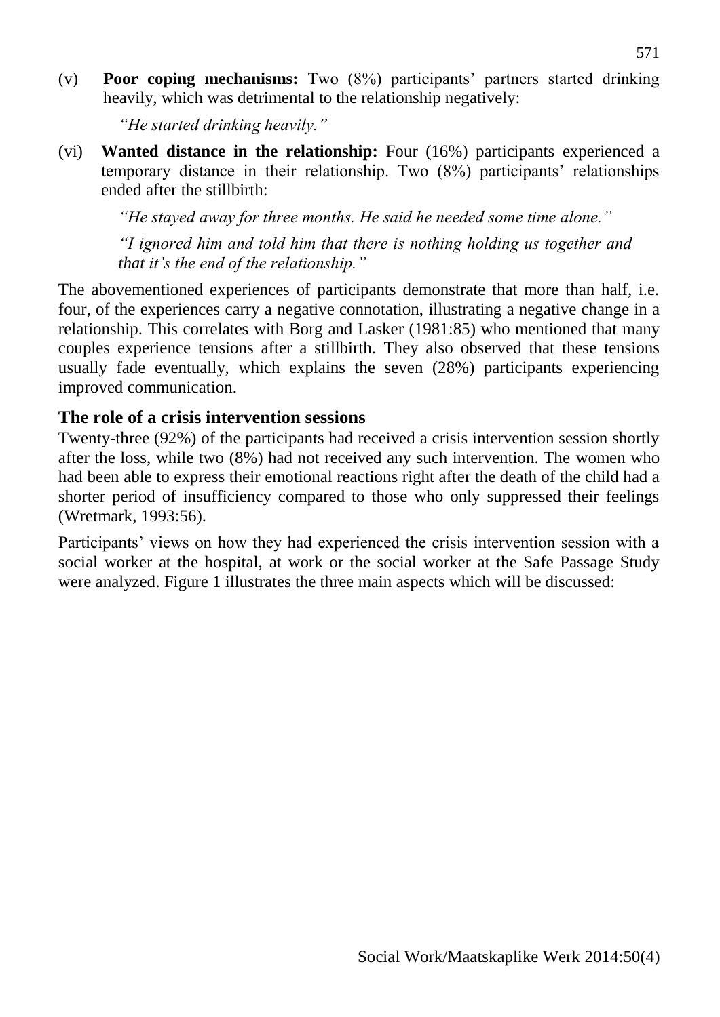(v) **Poor coping mechanisms:** Two (8%) participants' partners started drinking heavily, which was detrimental to the relationship negatively:

*"He started drinking heavily."*

(vi) **Wanted distance in the relationship:** Four (16%) participants experienced a temporary distance in their relationship. Two (8%) participants' relationships ended after the stillbirth:

*"He stayed away for three months. He said he needed some time alone."*

*"I ignored him and told him that there is nothing holding us together and that it's the end of the relationship."*

The abovementioned experiences of participants demonstrate that more than half, i.e. four, of the experiences carry a negative connotation, illustrating a negative change in a relationship. This correlates with Borg and Lasker (1981:85) who mentioned that many couples experience tensions after a stillbirth. They also observed that these tensions usually fade eventually, which explains the seven (28%) participants experiencing improved communication.

## **The role of a crisis intervention sessions**

Twenty-three (92%) of the participants had received a crisis intervention session shortly after the loss, while two (8%) had not received any such intervention. The women who had been able to express their emotional reactions right after the death of the child had a shorter period of insufficiency compared to those who only suppressed their feelings (Wretmark, 1993:56).

Participants' views on how they had experienced the crisis intervention session with a social worker at the hospital, at work or the social worker at the Safe Passage Study were analyzed. Figure 1 illustrates the three main aspects which will be discussed: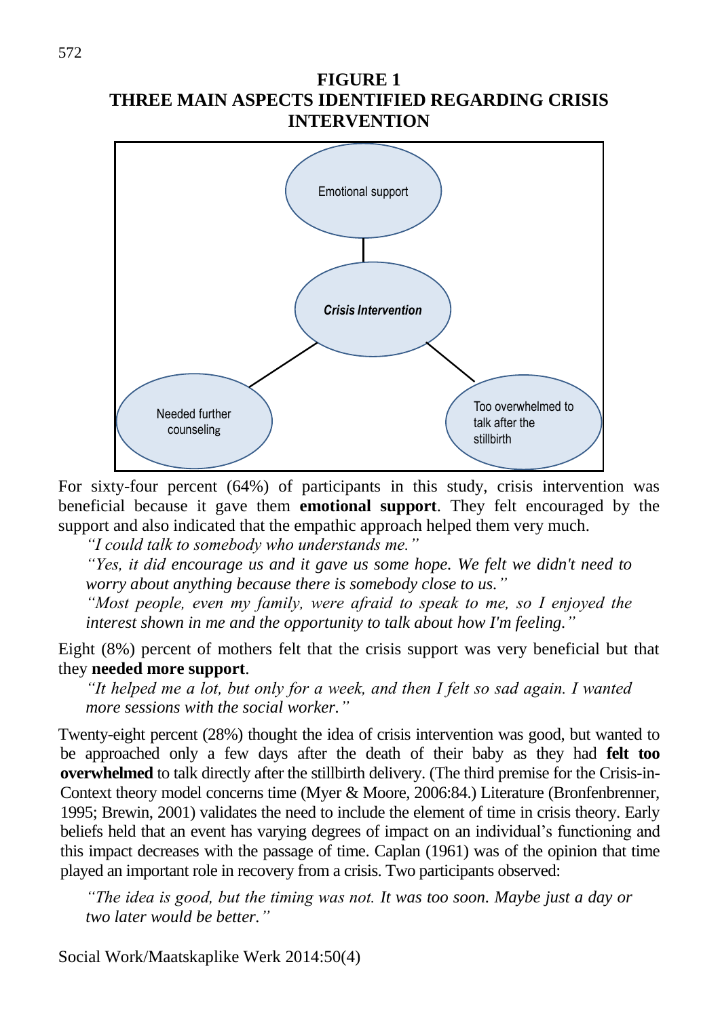#### **FIGURE 1 THREE MAIN ASPECTS IDENTIFIED REGARDING CRISIS INTERVENTION**



For sixty-four percent (64%) of participants in this study, crisis intervention was beneficial because it gave them **emotional support**. They felt encouraged by the support and also indicated that the empathic approach helped them very much.

*"I could talk to somebody who understands me."*

*"Yes, it did encourage us and it gave us some hope. We felt we didn't need to worry about anything because there is somebody close to us."*

*"Most people, even my family, were afraid to speak to me, so I enjoyed the interest shown in me and the opportunity to talk about how I'm feeling."*

Eight (8%) percent of mothers felt that the crisis support was very beneficial but that they **needed more support**.

*"It helped me a lot, but only for a week, and then I felt so sad again. I wanted more sessions with the social worker."*

Twenty-eight percent (28%) thought the idea of crisis intervention was good, but wanted to be approached only a few days after the death of their baby as they had **felt too overwhelmed** to talk directly after the stillbirth delivery. (The third premise for the Crisis-in-Context theory model concerns time (Myer & Moore, 2006:84.) Literature (Bronfenbrenner, 1995; Brewin, 2001) validates the need to include the element of time in crisis theory. Early beliefs held that an event has varying degrees of impact on an individual's functioning and this impact decreases with the passage of time. Caplan (1961) was of the opinion that time played an important role in recovery from a crisis. Two participants observed:

*"The idea is good, but the timing was not. It was too soon. Maybe just a day or two later would be better."*

Social Work/Maatskaplike Werk 2014:50(4)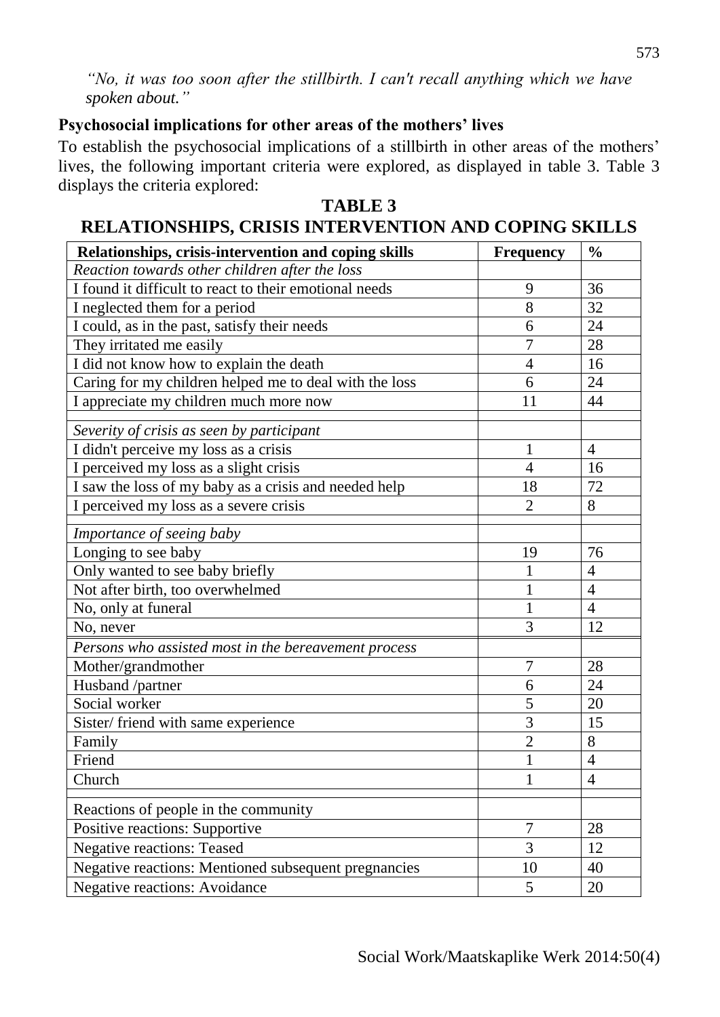*"No, it was too soon after the stillbirth. I can't recall anything which we have spoken about."*

#### **Psychosocial implications for other areas of the mothers' lives**

To establish the psychosocial implications of a stillbirth in other areas of the mothers' lives, the following important criteria were explored, as displayed in table 3. Table 3 displays the criteria explored:

#### **TABLE 3 RELATIONSHIPS, CRISIS INTERVENTION AND COPING SKILLS**

| Relationships, crisis-intervention and coping skills   | <b>Frequency</b> | $\frac{0}{0}$  |
|--------------------------------------------------------|------------------|----------------|
| Reaction towards other children after the loss         |                  |                |
| I found it difficult to react to their emotional needs | 9                | 36             |
| I neglected them for a period                          | 8                | 32             |
| I could, as in the past, satisfy their needs           | 6                | 24             |
| They irritated me easily                               | 7                | 28             |
| I did not know how to explain the death                | $\overline{4}$   | 16             |
| Caring for my children helped me to deal with the loss | 6                | 24             |
| I appreciate my children much more now                 | 11               | 44             |
|                                                        |                  |                |
| Severity of crisis as seen by participant              | 1                | $\overline{4}$ |
| I didn't perceive my loss as a crisis                  | $\overline{4}$   | 16             |
| I perceived my loss as a slight crisis                 |                  |                |
| I saw the loss of my baby as a crisis and needed help  | 18               | 72             |
| I perceived my loss as a severe crisis                 | $\overline{2}$   | 8              |
| Importance of seeing baby                              |                  |                |
| Longing to see baby                                    | 19               | 76             |
| Only wanted to see baby briefly                        | 1                | $\overline{4}$ |
| Not after birth, too overwhelmed                       | $\mathbf{1}$     | $\overline{4}$ |
| No, only at funeral                                    |                  | $\overline{4}$ |
| No, never                                              | 3                | 12             |
| Persons who assisted most in the bereavement process   |                  |                |
| Mother/grandmother                                     | $\overline{7}$   | 28             |
| Husband /partner                                       | 6                | 24             |
| Social worker                                          | 5                | 20             |
| Sister/friend with same experience                     | 3                | 15             |
| Family                                                 | $\overline{2}$   | 8              |
| Friend                                                 | 1                | $\overline{4}$ |
| Church                                                 | $\mathbf{1}$     | $\overline{4}$ |
| Reactions of people in the community                   |                  |                |
| Positive reactions: Supportive                         | $\overline{7}$   | 28             |
| <b>Negative reactions: Teased</b>                      | 3                | 12             |
| Negative reactions: Mentioned subsequent pregnancies   | 10               | 40             |
| <b>Negative reactions: Avoidance</b>                   | 5                | 20             |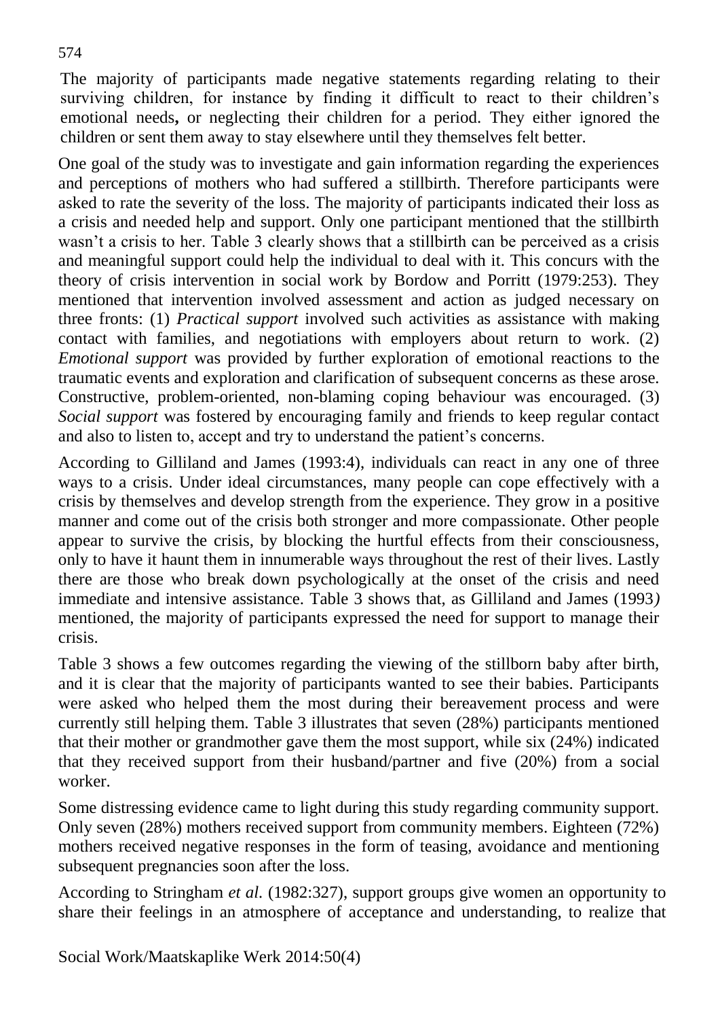The majority of participants made negative statements regarding relating to their surviving children, for instance by finding it difficult to react to their children's emotional needs**,** or neglecting their children for a period. They either ignored the children or sent them away to stay elsewhere until they themselves felt better.

One goal of the study was to investigate and gain information regarding the experiences and perceptions of mothers who had suffered a stillbirth. Therefore participants were asked to rate the severity of the loss. The majority of participants indicated their loss as a crisis and needed help and support. Only one participant mentioned that the stillbirth wasn't a crisis to her. Table 3 clearly shows that a stillbirth can be perceived as a crisis and meaningful support could help the individual to deal with it. This concurs with the theory of crisis intervention in social work by Bordow and Porritt (1979:253). They mentioned that intervention involved assessment and action as judged necessary on three fronts: (1) *Practical support* involved such activities as assistance with making contact with families, and negotiations with employers about return to work. (2) *Emotional support* was provided by further exploration of emotional reactions to the traumatic events and exploration and clarification of subsequent concerns as these arose. Constructive, problem-oriented, non-blaming coping behaviour was encouraged. (3) *Social support* was fostered by encouraging family and friends to keep regular contact and also to listen to, accept and try to understand the patient's concerns.

According to Gilliland and James (1993:4), individuals can react in any one of three ways to a crisis. Under ideal circumstances, many people can cope effectively with a crisis by themselves and develop strength from the experience. They grow in a positive manner and come out of the crisis both stronger and more compassionate. Other people appear to survive the crisis, by blocking the hurtful effects from their consciousness, only to have it haunt them in innumerable ways throughout the rest of their lives. Lastly there are those who break down psychologically at the onset of the crisis and need immediate and intensive assistance. Table 3 shows that, as Gilliland and James (1993*)*  mentioned, the majority of participants expressed the need for support to manage their crisis.

Table 3 shows a few outcomes regarding the viewing of the stillborn baby after birth, and it is clear that the majority of participants wanted to see their babies. Participants were asked who helped them the most during their bereavement process and were currently still helping them. Table 3 illustrates that seven (28%) participants mentioned that their mother or grandmother gave them the most support, while six (24%) indicated that they received support from their husband/partner and five (20%) from a social worker.

Some distressing evidence came to light during this study regarding community support. Only seven (28%) mothers received support from community members. Eighteen (72%) mothers received negative responses in the form of teasing, avoidance and mentioning subsequent pregnancies soon after the loss.

According to Stringham *et al.* (1982:327), support groups give women an opportunity to share their feelings in an atmosphere of acceptance and understanding, to realize that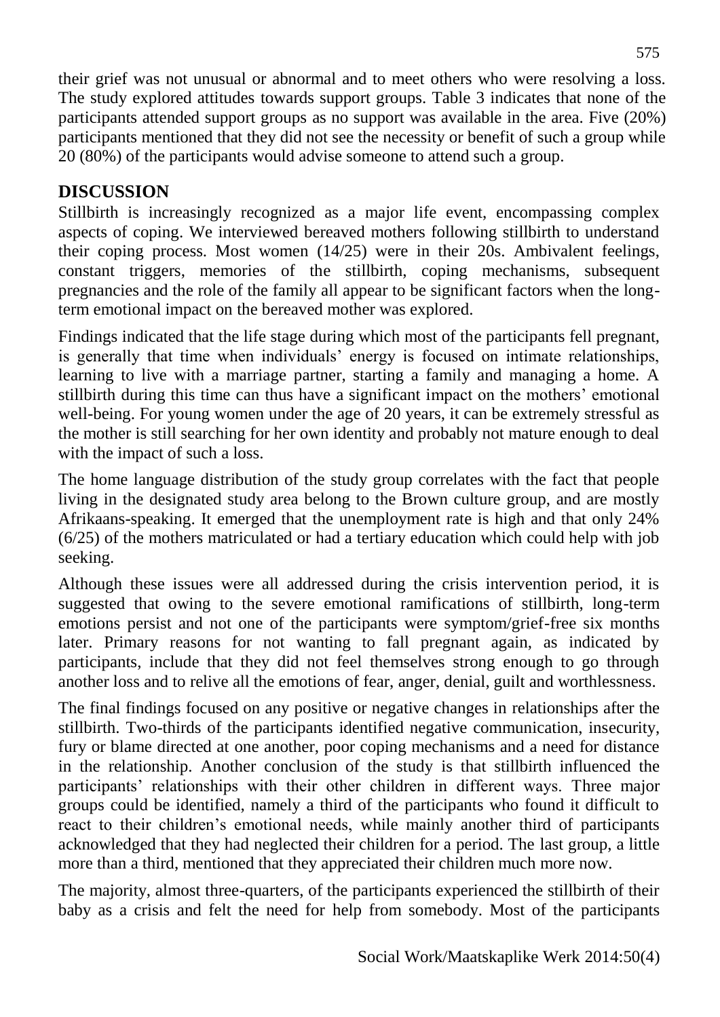their grief was not unusual or abnormal and to meet others who were resolving a loss. The study explored attitudes towards support groups. Table 3 indicates that none of the participants attended support groups as no support was available in the area. Five (20%) participants mentioned that they did not see the necessity or benefit of such a group while 20 (80%) of the participants would advise someone to attend such a group.

# **DISCUSSION**

Stillbirth is increasingly recognized as a major life event, encompassing complex aspects of coping. We interviewed bereaved mothers following stillbirth to understand their coping process. Most women (14/25) were in their 20s. Ambivalent feelings, constant triggers, memories of the stillbirth, coping mechanisms, subsequent pregnancies and the role of the family all appear to be significant factors when the longterm emotional impact on the bereaved mother was explored.

Findings indicated that the life stage during which most of the participants fell pregnant, is generally that time when individuals' energy is focused on intimate relationships, learning to live with a marriage partner, starting a family and managing a home. A stillbirth during this time can thus have a significant impact on the mothers' emotional well-being. For young women under the age of 20 years, it can be extremely stressful as the mother is still searching for her own identity and probably not mature enough to deal with the impact of such a loss.

The home language distribution of the study group correlates with the fact that people living in the designated study area belong to the Brown culture group, and are mostly Afrikaans-speaking. It emerged that the unemployment rate is high and that only 24% (6/25) of the mothers matriculated or had a tertiary education which could help with job seeking.

Although these issues were all addressed during the crisis intervention period, it is suggested that owing to the severe emotional ramifications of stillbirth, long-term emotions persist and not one of the participants were symptom/grief-free six months later. Primary reasons for not wanting to fall pregnant again, as indicated by participants, include that they did not feel themselves strong enough to go through another loss and to relive all the emotions of fear, anger, denial, guilt and worthlessness.

The final findings focused on any positive or negative changes in relationships after the stillbirth. Two-thirds of the participants identified negative communication, insecurity, fury or blame directed at one another, poor coping mechanisms and a need for distance in the relationship. Another conclusion of the study is that stillbirth influenced the participants' relationships with their other children in different ways. Three major groups could be identified, namely a third of the participants who found it difficult to react to their children's emotional needs, while mainly another third of participants acknowledged that they had neglected their children for a period. The last group, a little more than a third, mentioned that they appreciated their children much more now.

The majority, almost three-quarters, of the participants experienced the stillbirth of their baby as a crisis and felt the need for help from somebody. Most of the participants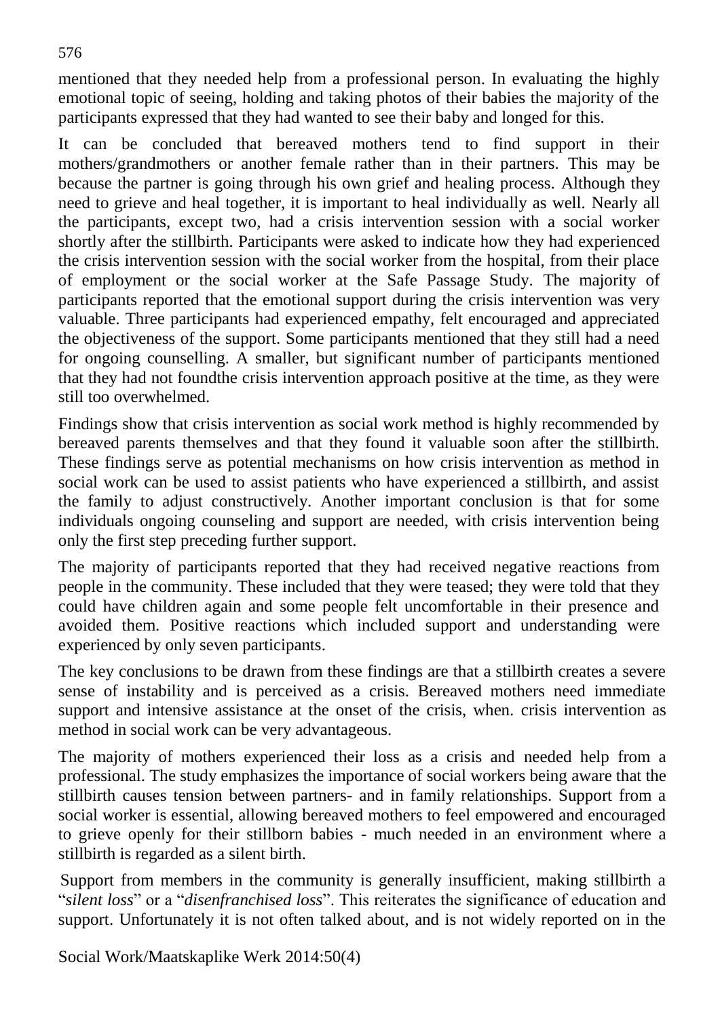mentioned that they needed help from a professional person. In evaluating the highly emotional topic of seeing, holding and taking photos of their babies the majority of the participants expressed that they had wanted to see their baby and longed for this.

It can be concluded that bereaved mothers tend to find support in their mothers/grandmothers or another female rather than in their partners. This may be because the partner is going through his own grief and healing process. Although they need to grieve and heal together, it is important to heal individually as well. Nearly all the participants, except two, had a crisis intervention session with a social worker shortly after the stillbirth. Participants were asked to indicate how they had experienced the crisis intervention session with the social worker from the hospital, from their place of employment or the social worker at the Safe Passage Study. The majority of participants reported that the emotional support during the crisis intervention was very valuable. Three participants had experienced empathy, felt encouraged and appreciated the objectiveness of the support. Some participants mentioned that they still had a need for ongoing counselling. A smaller, but significant number of participants mentioned that they had not foundthe crisis intervention approach positive at the time, as they were still too overwhelmed.

Findings show that crisis intervention as social work method is highly recommended by bereaved parents themselves and that they found it valuable soon after the stillbirth. These findings serve as potential mechanisms on how crisis intervention as method in social work can be used to assist patients who have experienced a stillbirth, and assist the family to adjust constructively. Another important conclusion is that for some individuals ongoing counseling and support are needed, with crisis intervention being only the first step preceding further support.

The majority of participants reported that they had received negative reactions from people in the community. These included that they were teased; they were told that they could have children again and some people felt uncomfortable in their presence and avoided them. Positive reactions which included support and understanding were experienced by only seven participants.

The key conclusions to be drawn from these findings are that a stillbirth creates a severe sense of instability and is perceived as a crisis. Bereaved mothers need immediate support and intensive assistance at the onset of the crisis, when. crisis intervention as method in social work can be very advantageous.

The majority of mothers experienced their loss as a crisis and needed help from a professional. The study emphasizes the importance of social workers being aware that the stillbirth causes tension between partners- and in family relationships. Support from a social worker is essential, allowing bereaved mothers to feel empowered and encouraged to grieve openly for their stillborn babies - much needed in an environment where a stillbirth is regarded as a silent birth.

Support from members in the community is generally insufficient, making stillbirth a "*silent loss*" or a "*disenfranchised loss*". This reiterates the significance of education and support. Unfortunately it is not often talked about, and is not widely reported on in the

Social Work/Maatskaplike Werk 2014:50(4)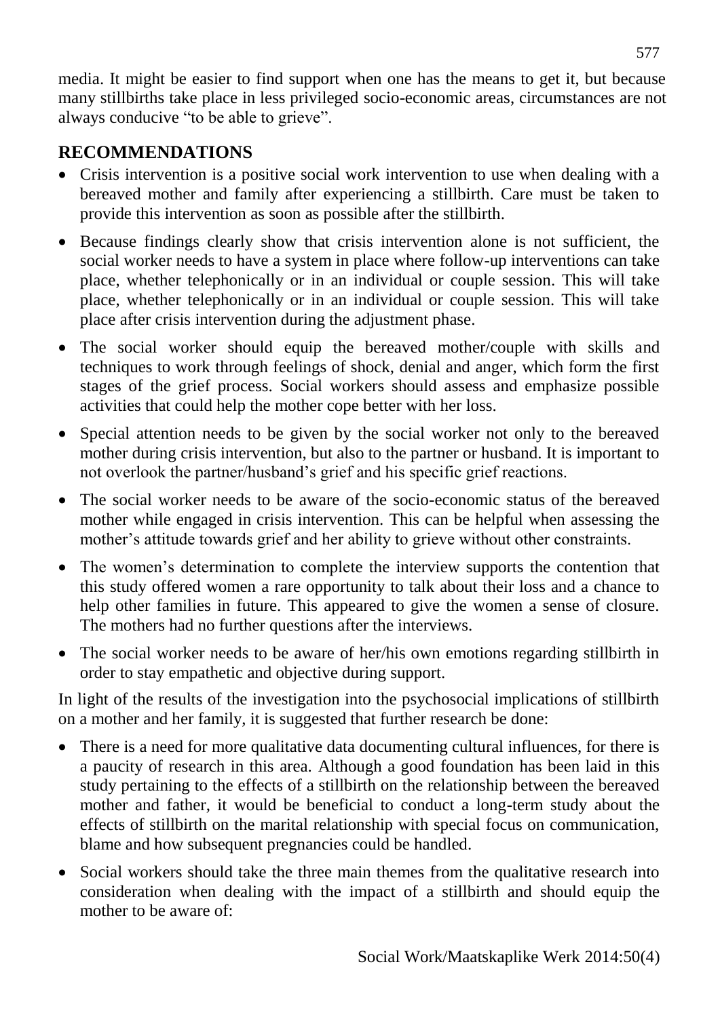media. It might be easier to find support when one has the means to get it, but because many stillbirths take place in less privileged socio-economic areas, circumstances are not always conducive "to be able to grieve".

## **RECOMMENDATIONS**

- Crisis intervention is a positive social work intervention to use when dealing with a bereaved mother and family after experiencing a stillbirth. Care must be taken to provide this intervention as soon as possible after the stillbirth.
- Because findings clearly show that crisis intervention alone is not sufficient, the social worker needs to have a system in place where follow-up interventions can take place, whether telephonically or in an individual or couple session. This will take place, whether telephonically or in an individual or couple session. This will take place after crisis intervention during the adjustment phase.
- The social worker should equip the bereaved mother/couple with skills and techniques to work through feelings of shock, denial and anger, which form the first stages of the grief process. Social workers should assess and emphasize possible activities that could help the mother cope better with her loss.
- Special attention needs to be given by the social worker not only to the bereaved mother during crisis intervention, but also to the partner or husband. It is important to not overlook the partner/husband's grief and his specific grief reactions.
- The social worker needs to be aware of the socio-economic status of the bereaved mother while engaged in crisis intervention. This can be helpful when assessing the mother's attitude towards grief and her ability to grieve without other constraints.
- The women's determination to complete the interview supports the contention that this study offered women a rare opportunity to talk about their loss and a chance to help other families in future. This appeared to give the women a sense of closure. The mothers had no further questions after the interviews.
- The social worker needs to be aware of her/his own emotions regarding stillbirth in order to stay empathetic and objective during support.

In light of the results of the investigation into the psychosocial implications of stillbirth on a mother and her family, it is suggested that further research be done:

- There is a need for more qualitative data documenting cultural influences, for there is a paucity of research in this area. Although a good foundation has been laid in this study pertaining to the effects of a stillbirth on the relationship between the bereaved mother and father, it would be beneficial to conduct a long-term study about the effects of stillbirth on the marital relationship with special focus on communication, blame and how subsequent pregnancies could be handled.
- Social workers should take the three main themes from the qualitative research into consideration when dealing with the impact of a stillbirth and should equip the mother to be aware of: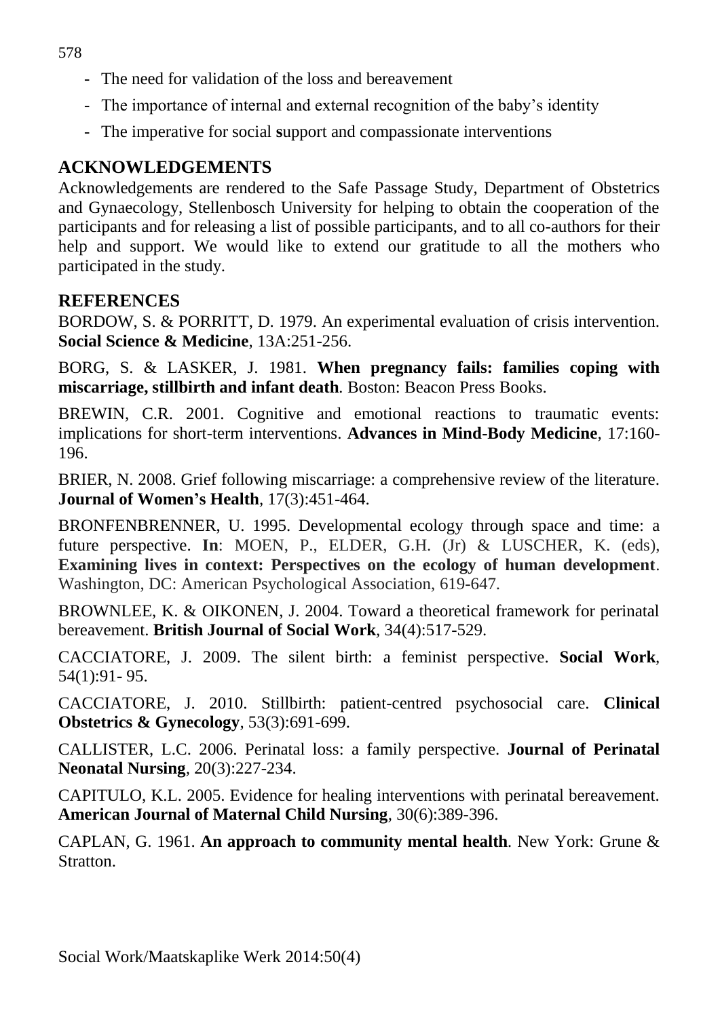- The need for validation of the loss and bereavement
- The importance of internal and external recognition of the baby's identity
- The imperative for social **s**upport and compassionate interventions

# **ACKNOWLEDGEMENTS**

Acknowledgements are rendered to the Safe Passage Study, Department of Obstetrics and Gynaecology, Stellenbosch University for helping to obtain the cooperation of the participants and for releasing a list of possible participants, and to all co-authors for their help and support. We would like to extend our gratitude to all the mothers who participated in the study.

## **REFERENCES**

BORDOW, S. & PORRITT, D. 1979. An experimental evaluation of crisis intervention. **Social Science & Medicine***,* 13A:251-256.

BORG, S. & LASKER, J. 1981. **When pregnancy fails: families coping with miscarriage, stillbirth and infant death***.* Boston: Beacon Press Books.

BREWIN, C.R. 2001. Cognitive and emotional reactions to traumatic events: implications for short-term interventions. **Advances in Mind-Body Medicine***,* 17:160- 196.

BRIER, N. 2008. Grief following miscarriage: a comprehensive review of the literature. **Journal of Women's Health***,* 17(3):451-464.

BRONFENBRENNER, U. 1995. Developmental ecology through space and time: a future perspective. **In**: MOEN, P., ELDER, G.H. (Jr) & LUSCHER, K. (eds), **Examining lives in context: Perspectives on the ecology of human development**. Washington, DC: American Psychological Association, 619-647.

BROWNLEE, K. & OIKONEN, J. 2004. Toward a theoretical framework for perinatal bereavement. **British Journal of Social Work***,* 34(4):517-529.

CACCIATORE, J. 2009. The silent birth: a feminist perspective. **Social Work***,*  54(1):91- 95.

CACCIATORE, J. 2010. Stillbirth: patient-centred psychosocial care. **Clinical Obstetrics & Gynecology***,* 53(3):691-699.

CALLISTER, L.C. 2006. Perinatal loss: a family perspective. **Journal of Perinatal Neonatal Nursing***,* 20(3):227-234.

CAPITULO, K.L. 2005. Evidence for healing interventions with perinatal bereavement. **American Journal of Maternal Child Nursing***,* 30(6):389-396.

CAPLAN, G. 1961. **An approach to community mental health***.* New York: Grune & Stratton.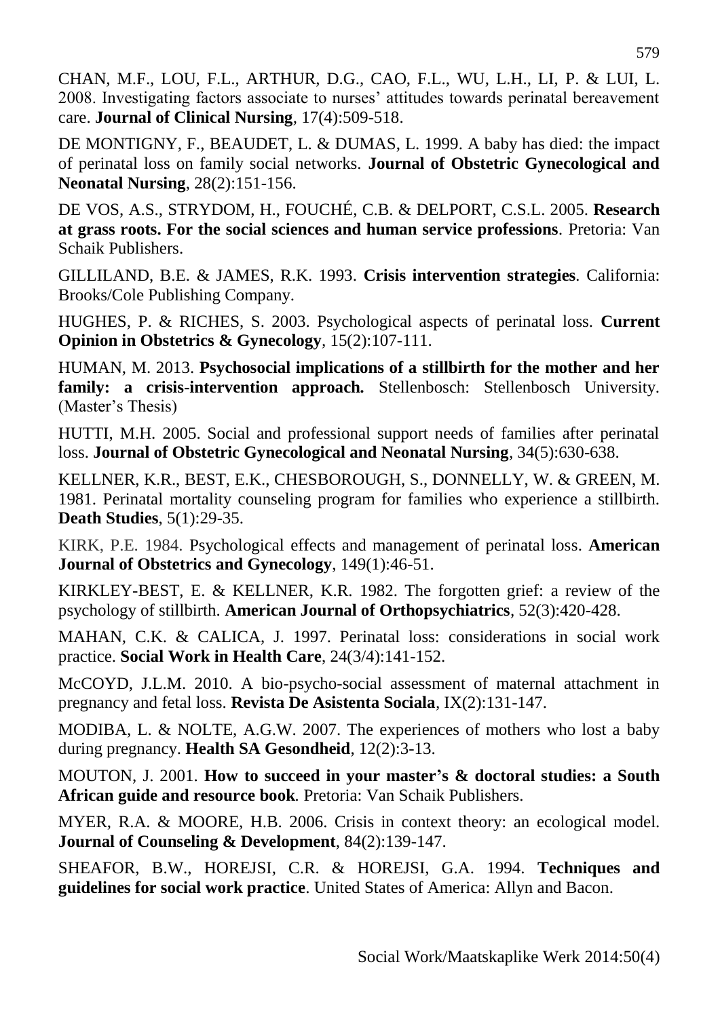CHAN, M.F., LOU, F.L., ARTHUR, D.G., CAO, F.L., WU, L.H., LI, P. & LUI, L. 2008. Investigating factors associate to nurses' attitudes towards perinatal bereavement care. **Journal of Clinical Nursing***,* 17(4):509-518.

DE MONTIGNY, F., BEAUDET, L. & DUMAS, L. 1999. A baby has died: the impact of perinatal loss on family social networks. **Journal of Obstetric Gynecological and Neonatal Nursing**, 28(2):151-156.

DE VOS, A.S., STRYDOM, H., FOUCHÉ, C.B. & DELPORT, C.S.L. 2005. **Research at grass roots. For the social sciences and human service professions***.* Pretoria: Van Schaik Publishers.

GILLILAND, B.E. & JAMES, R.K. 1993. **Crisis intervention strategies***.* California: Brooks/Cole Publishing Company.

HUGHES, P. & RICHES, S. 2003. Psychological aspects of perinatal loss. **Current Opinion in Obstetrics & Gynecology***,* 15(2):107-111.

HUMAN, M. 2013. **Psychosocial implications of a stillbirth for the mother and her family: a crisis-intervention approach***.* Stellenbosch: Stellenbosch University. (Master's Thesis)

HUTTI, M.H. 2005. Social and professional support needs of families after perinatal loss. **Journal of Obstetric Gynecological and Neonatal Nursing***,* 34(5):630-638.

KELLNER, K.R., BEST, E.K., CHESBOROUGH, S., DONNELLY, W. & GREEN, M. 1981. Perinatal mortality counseling program for families who experience a stillbirth. **Death Studies**, 5(1):29-35.

KIRK, P.E. 1984. Psychological effects and management of perinatal loss. **American Journal of Obstetrics and Gynecology**, 149(1):46-51.

KIRKLEY-BEST, E. & KELLNER, K.R. 1982. The forgotten grief: a review of the psychology of stillbirth. **American Journal of Orthopsychiatrics***,* 52(3):420-428.

MAHAN, C.K. & CALICA, J. 1997. Perinatal loss: considerations in social work practice. **Social Work in Health Care**, 24(3/4):141-152.

McCOYD, J.L.M. 2010. A bio-psycho-social assessment of maternal attachment in pregnancy and fetal loss. **Revista De Asistenta Sociala***,* IX(2):131-147.

MODIBA, L. & NOLTE, A.G.W. 2007. The experiences of mothers who lost a baby during pregnancy. **Health SA Gesondheid**, 12(2):3-13.

MOUTON, J. 2001. **How to succeed in your master's & doctoral studies: a South African guide and resource book***.* Pretoria: Van Schaik Publishers.

MYER, R.A. & MOORE, H.B. 2006. Crisis in context theory: an ecological model. **Journal of Counseling & Development**, 84(2):139-147.

SHEAFOR, B.W., HOREJSI, C.R. & HOREJSI, G.A. 1994. **Techniques and guidelines for social work practice**. United States of America: Allyn and Bacon.